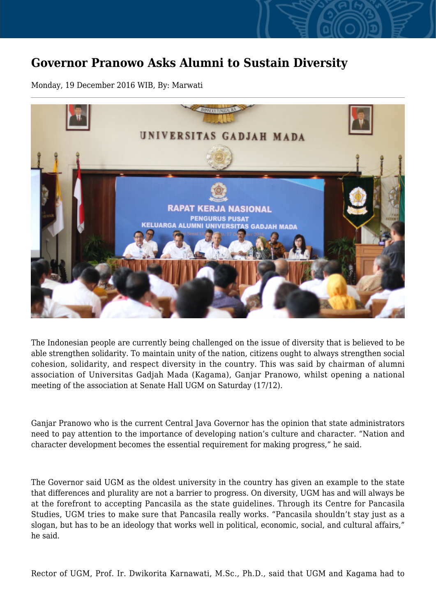## **Governor Pranowo Asks Alumni to Sustain Diversity**

Monday, 19 December 2016 WIB, By: Marwati



The Indonesian people are currently being challenged on the issue of diversity that is believed to be able strengthen solidarity. To maintain unity of the nation, citizens ought to always strengthen social cohesion, solidarity, and respect diversity in the country. This was said by chairman of alumni association of Universitas Gadjah Mada (Kagama), Ganjar Pranowo, whilst opening a national meeting of the association at Senate Hall UGM on Saturday (17/12).

Ganjar Pranowo who is the current Central Java Governor has the opinion that state administrators need to pay attention to the importance of developing nation's culture and character. "Nation and character development becomes the essential requirement for making progress," he said.

The Governor said UGM as the oldest university in the country has given an example to the state that differences and plurality are not a barrier to progress. On diversity, UGM has and will always be at the forefront to accepting Pancasila as the state guidelines. Through its Centre for Pancasila Studies, UGM tries to make sure that Pancasila really works. "Pancasila shouldn't stay just as a slogan, but has to be an ideology that works well in political, economic, social, and cultural affairs," he said.

Rector of UGM, Prof. Ir. Dwikorita Karnawati, M.Sc., Ph.D., said that UGM and Kagama had to